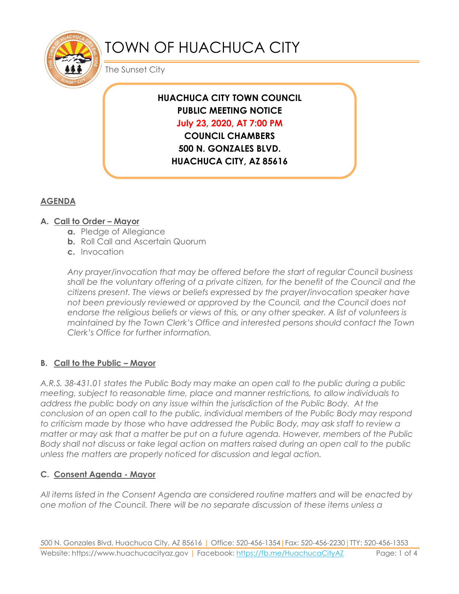

# TOWN OF HUACHUCA CITY

The Sunset City

# **HUACHUCA CITY TOWN COUNCIL PUBLIC MEETING NOTICE July 23, 2020, AT 7:00 PM COUNCIL CHAMBERS**

**500 N. GONZALES BLVD. HUACHUCA CITY, AZ 85616**

# **AGENDA**

## **A. Call to Order – Mayor**

- **a.** Pledge of Allegiance
- **b.** Roll Call and Ascertain Quorum
- **c.** Invocation

*Any prayer/invocation that may be offered before the start of regular Council business shall be the voluntary offering of a private citizen, for the benefit of the Council and the citizens present. The views or beliefs expressed by the prayer/invocation speaker have not been previously reviewed or approved by the Council, and the Council does not endorse the religious beliefs or views of this, or any other speaker. A list of volunteers is maintained by the Town Clerk's Office and interested persons should contact the Town Clerk's Office for further information.*

## **B. Call to the Public – Mayor**

*A.R.S. 38-431.01 states the Public Body may make an open call to the public during a public meeting, subject to reasonable time, place and manner restrictions, to allow individuals to address the public body on any issue within the jurisdiction of the Public Body. At the conclusion of an open call to the public, individual members of the Public Body may respond to criticism made by those who have addressed the Public Body, may ask staff to review a matter or may ask that a matter be put on a future agenda. However, members of the Public Body shall not discuss or take legal action on matters raised during an open call to the public unless the matters are properly noticed for discussion and legal action.*

## **C. Consent Agenda - Mayor**

*All items listed in the Consent Agenda are considered routine matters and will be enacted by one motion of the Council. There will be no separate discussion of these items unless a*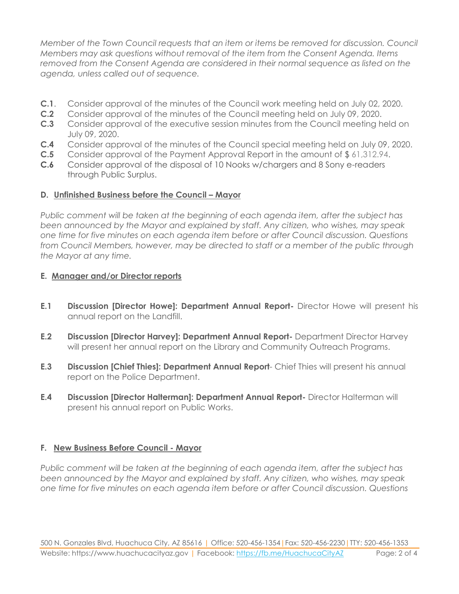*Member of the Town Council requests that an item or items be removed for discussion. Council Members may ask questions without removal of the item from the Consent Agenda. Items removed from the Consent Agenda are considered in their normal sequence as listed on the agenda, unless called out of sequence.*

- **C.1**. Consider approval of the minutes of the Council work meeting held on July 02, 2020.
- **C.2** Consider approval of the minutes of the Council meeting held on July 09, 2020.
- **C.3** Consider approval of the executive session minutes from the Council meeting held on July 09, 2020.
- **C.4** Consider approval of the minutes of the Council special meeting held on July 09, 2020.
- **C.5** Consider approval of the Payment Approval Report in the amount of \$ 61,312.94.
- **C.6** Consider approval of the disposal of 10 Nooks w/chargers and 8 Sony e-readers through Public Surplus.

#### **D.** Unfinished Business before the Council - Mayor

*Public comment will be taken at the beginning of each agenda item, after the subject has been announced by the Mayor and explained by staff. Any citizen, who wishes, may speak one time for five minutes on each agenda item before or after Council discussion. Questions from Council Members, however, may be directed to staff or a member of the public through the Mayor at any time.*

#### **E. Manager and/or Director reports**

- **E.1 Discussion [Director Howe]: Department Annual Report-** Director Howe will present his annual report on the Landfill.
- **E.2 Discussion [Director Harvey]: Department Annual Report-** Department Director Harvey will present her annual report on the Library and Community Outreach Programs.
- **E.3 Discussion [Chief Thies]: Department Annual Report** Chief Thies will present his annual report on the Police Department.
- **E.4 Discussion [Director Halterman]: Department Annual Report-** Director Halterman will present his annual report on Public Works.

#### **F. New Business Before Council - Mayor**

*Public comment will be taken at the beginning of each agenda item, after the subject has been announced by the Mayor and explained by staff. Any citizen, who wishes, may speak one time for five minutes on each agenda item before or after Council discussion. Questions*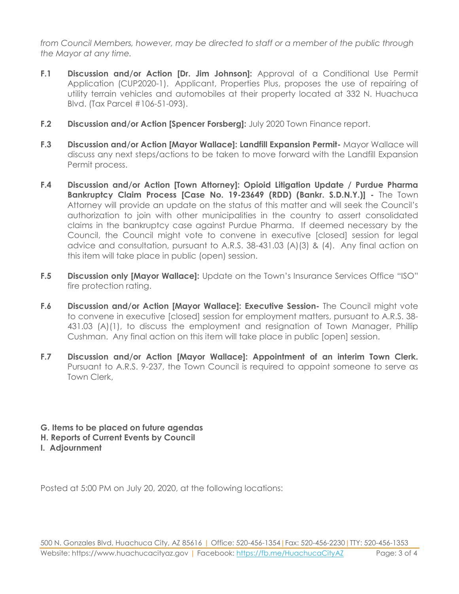*from Council Members, however, may be directed to staff or a member of the public through the Mayor at any time.* 

- **F.1 Discussion and/or Action [Dr. Jim Johnson]:** Approval of a Conditional Use Permit Application (CUP2020-1). Applicant, Properties Plus, proposes the use of repairing of utility terrain vehicles and automobiles at their property located at 332 N. Huachuca Blvd. (Tax Parcel #106-51-093).
- **F.2 Discussion and/or Action [Spencer Forsberg]:** July 2020 Town Finance report.
- **F.3 Discussion and/or Action [Mayor Wallace]: Landfill Expansion Permit-** Mayor Wallace will discuss any next steps/actions to be taken to move forward with the Landfill Expansion Permit process.
- **F.4 Discussion and/or Action [Town Attorney]: Opioid Litigation Update / Purdue Pharma Bankruptcy Claim Process [Case No. 19-23649 (RDD) (Bankr. S.D.N.Y.)] -** The Town Attorney will provide an update on the status of this matter and will seek the Council's authorization to join with other municipalities in the country to assert consolidated claims in the bankruptcy case against Purdue Pharma. If deemed necessary by the Council, the Council might vote to convene in executive [closed] session for legal advice and consultation, pursuant to A.R.S. 38-431.03 (A)(3) & (4). Any final action on this item will take place in public (open) session.
- **F.5 Discussion only [Mayor Wallace]:** Update on the Town's Insurance Services Office "ISO" fire protection rating.
- **F.6 Discussion and/or Action [Mayor Wallace]: Executive Session-** The Council might vote to convene in executive [closed] session for employment matters, pursuant to A.R.S. 38- 431.03 (A)(1), to discuss the employment and resignation of Town Manager, Phillip Cushman. Any final action on this item will take place in public [open] session.
- **F.7 Discussion and/or Action [Mayor Wallace]: Appointment of an interim Town Clerk.**  Pursuant to A.R.S. 9-237, the Town Council is required to appoint someone to serve as Town Clerk,
- **G. Items to be placed on future agendas**
- **H. Reports of Current Events by Council**
- **I. Adjournment**

Posted at 5:00 PM on July 20, 2020, at the following locations: